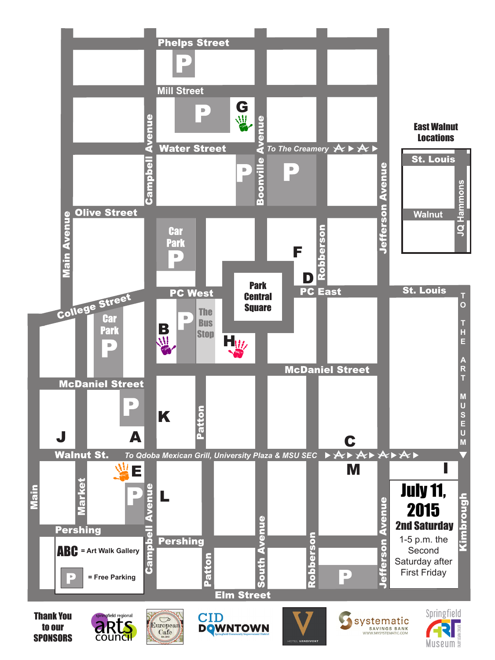